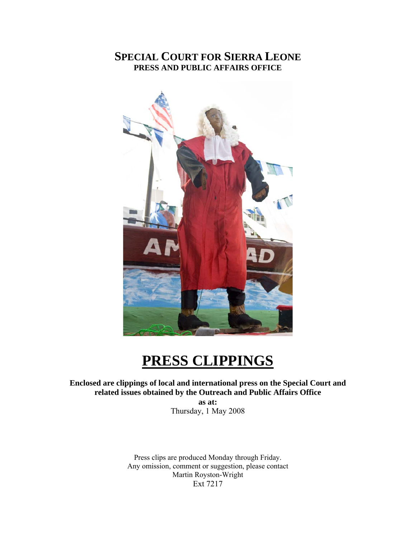# **SPECIAL COURT FOR SIERRA LEONE PRESS AND PUBLIC AFFAIRS OFFICE**



# **PRESS CLIPPINGS**

**Enclosed are clippings of local and international press on the Special Court and related issues obtained by the Outreach and Public Affairs Office** 

**as at:**  Thursday, 1 May 2008

Press clips are produced Monday through Friday. Any omission, comment or suggestion, please contact Martin Royston-Wright Ext 7217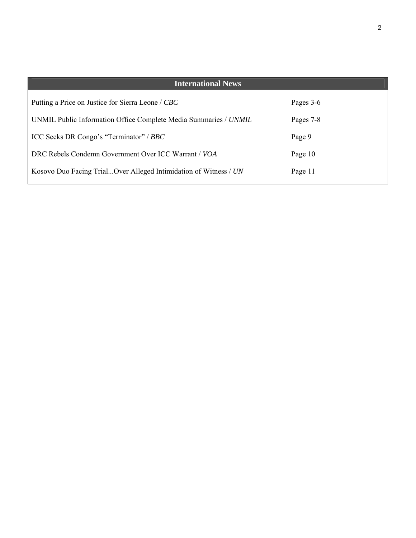| <b>International News</b>                                        |           |
|------------------------------------------------------------------|-----------|
| Putting a Price on Justice for Sierra Leone / CBC                | Pages 3-6 |
| UNMIL Public Information Office Complete Media Summaries / UNMIL | Pages 7-8 |
| ICC Seeks DR Congo's "Terminator" / BBC                          | Page 9    |
| DRC Rebels Condemn Government Over ICC Warrant / VOA             | Page 10   |
| Kosovo Duo Facing TrialOver Alleged Intimidation of Witness / UN | Page 11   |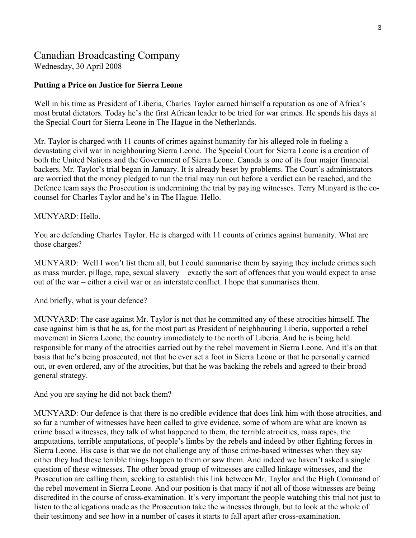# Canadian Broadcasting Company

Wednesday, 30 April 2008

# **Putting a Price on Justice for Sierra Leone**

Well in his time as President of Liberia, Charles Taylor earned himself a reputation as one of Africa's most brutal dictators. Today he's the first African leader to be tried for war crimes. He spends his days at the Special Court for Sierra Leone in The Hague in the Netherlands.

Mr. Taylor is charged with 11 counts of crimes against humanity for his alleged role in fueling a devastating civil war in neighbouring Sierra Leone. The Special Court for Sierra Leone is a creation of both the United Nations and the Government of Sierra Leone. Canada is one of its four major financial backers. Mr. Taylor's trial began in January. It is already beset by problems. The Court's administrators are worried that the money pledged to run the trial may run out before a verdict can be reached, and the Defence team says the Prosecution is undermining the trial by paying witnesses. Terry Munyard is the cocounsel for Charles Taylor and he's in The Hague. Hello.

### MUNYARD: Hello.

You are defending Charles Taylor. He is charged with 11 counts of crimes against humanity. What are those charges?

MUNYARD: Well I won't list them all, but I could summarise them by saying they include crimes such as mass murder, pillage, rape, sexual slavery – exactly the sort of offences that you would expect to arise out of the war – either a civil war or an interstate conflict. I hope that summarises them.

And briefly, what is your defence?

MUNYARD: The case against Mr. Taylor is not that he committed any of these atrocities himself. The case against him is that he as, for the most part as President of neighbouring Liberia, supported a rebel movement in Sierra Leone, the country immediately to the north of Liberia. And he is being held responsible for many of the atrocities carried out by the rebel movement in Sierra Leone. And it's on that basis that he's being prosecuted, not that he ever set a foot in Sierra Leone or that he personally carried out, or even ordered, any of the atrocities, but that he was backing the rebels and agreed to their broad general strategy.

And you are saying he did not back them?

MUNYARD: Our defence is that there is no credible evidence that does link him with those atrocities, and so far a number of witnesses have been called to give evidence, some of whom are what are known as crime based witnesses, they talk of what happened to them, the terrible atrocities, mass rapes, the amputations, terrible amputations, of people's limbs by the rebels and indeed by other fighting forces in Sierra Leone. His case is that we do not challenge any of those crime-based witnesses when they say either they had these terrible things happen to them or saw them. And indeed we haven't asked a single question of these witnesses. The other broad group of witnesses are called linkage witnesses, and the Prosecution are calling them, seeking to establish this link between Mr. Taylor and the High Command of the rebel movement in Sierra Leone. And our position is that many if not all of those witnesses are being discredited in the course of cross-examination. It's very important the people watching this trial not just to listen to the allegations made as the Prosecution take the witnesses through, but to look at the whole of their testimony and see how in a number of cases it starts to fall apart after cross-examination.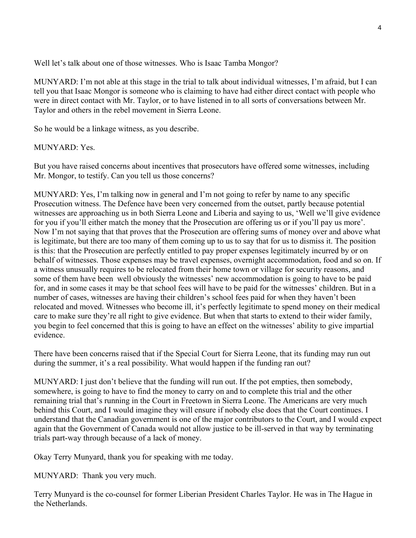Well let's talk about one of those witnesses. Who is Isaac Tamba Mongor?

MUNYARD: I'm not able at this stage in the trial to talk about individual witnesses, I'm afraid, but I can tell you that Isaac Mongor is someone who is claiming to have had either direct contact with people who were in direct contact with Mr. Taylor, or to have listened in to all sorts of conversations between Mr. Taylor and others in the rebel movement in Sierra Leone.

So he would be a linkage witness, as you describe.

### MUNYARD: Yes.

But you have raised concerns about incentives that prosecutors have offered some witnesses, including Mr. Mongor, to testify. Can you tell us those concerns?

MUNYARD: Yes, I'm talking now in general and I'm not going to refer by name to any specific Prosecution witness. The Defence have been very concerned from the outset, partly because potential witnesses are approaching us in both Sierra Leone and Liberia and saying to us, 'Well we'll give evidence for you if you'll either match the money that the Prosecution are offering us or if you'll pay us more'. Now I'm not saying that that proves that the Prosecution are offering sums of money over and above what is legitimate, but there are too many of them coming up to us to say that for us to dismiss it. The position is this: that the Prosecution are perfectly entitled to pay proper expenses legitimately incurred by or on behalf of witnesses. Those expenses may be travel expenses, overnight accommodation, food and so on. If a witness unusually requires to be relocated from their home town or village for security reasons, and some of them have been well obviously the witnesses' new accommodation is going to have to be paid for, and in some cases it may be that school fees will have to be paid for the witnesses' children. But in a number of cases, witnesses are having their children's school fees paid for when they haven't been relocated and moved. Witnesses who become ill, it's perfectly legitimate to spend money on their medical care to make sure they're all right to give evidence. But when that starts to extend to their wider family, you begin to feel concerned that this is going to have an effect on the witnesses' ability to give impartial evidence.

There have been concerns raised that if the Special Court for Sierra Leone, that its funding may run out during the summer, it's a real possibility. What would happen if the funding ran out?

MUNYARD: I just don't believe that the funding will run out. If the pot empties, then somebody, somewhere, is going to have to find the money to carry on and to complete this trial and the other remaining trial that's running in the Court in Freetown in Sierra Leone. The Americans are very much behind this Court, and I would imagine they will ensure if nobody else does that the Court continues. I understand that the Canadian government is one of the major contributors to the Court, and I would expect again that the Government of Canada would not allow justice to be ill-served in that way by terminating trials part-way through because of a lack of money.

Okay Terry Munyard, thank you for speaking with me today.

MUNYARD: Thank you very much.

Terry Munyard is the co-counsel for former Liberian President Charles Taylor. He was in The Hague in the Netherlands.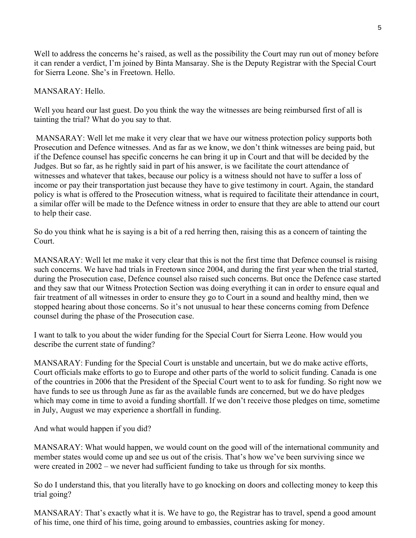Well to address the concerns he's raised, as well as the possibility the Court may run out of money before it can render a verdict, I'm joined by Binta Mansaray. She is the Deputy Registrar with the Special Court for Sierra Leone. She's in Freetown. Hello.

# MANSARAY: Hello.

Well you heard our last guest. Do you think the way the witnesses are being reimbursed first of all is tainting the trial? What do you say to that.

 MANSARAY: Well let me make it very clear that we have our witness protection policy supports both Prosecution and Defence witnesses. And as far as we know, we don't think witnesses are being paid, but if the Defence counsel has specific concerns he can bring it up in Court and that will be decided by the Judges. But so far, as he rightly said in part of his answer, is we facilitate the court attendance of witnesses and whatever that takes, because our policy is a witness should not have to suffer a loss of income or pay their transportation just because they have to give testimony in court. Again, the standard policy is what is offered to the Prosecution witness, what is required to facilitate their attendance in court, a similar offer will be made to the Defence witness in order to ensure that they are able to attend our court to help their case.

So do you think what he is saying is a bit of a red herring then, raising this as a concern of tainting the Court.

MANSARAY: Well let me make it very clear that this is not the first time that Defence counsel is raising such concerns. We have had trials in Freetown since 2004, and during the first year when the trial started, during the Prosecution case, Defence counsel also raised such concerns. But once the Defence case started and they saw that our Witness Protection Section was doing everything it can in order to ensure equal and fair treatment of all witnesses in order to ensure they go to Court in a sound and healthy mind, then we stopped hearing about those concerns. So it's not unusual to hear these concerns coming from Defence counsel during the phase of the Prosecution case.

I want to talk to you about the wider funding for the Special Court for Sierra Leone. How would you describe the current state of funding?

MANSARAY: Funding for the Special Court is unstable and uncertain, but we do make active efforts, Court officials make efforts to go to Europe and other parts of the world to solicit funding. Canada is one of the countries in 2006 that the President of the Special Court went to to ask for funding. So right now we have funds to see us through June as far as the available funds are concerned, but we do have pledges which may come in time to avoid a funding shortfall. If we don't receive those pledges on time, sometime in July, August we may experience a shortfall in funding.

And what would happen if you did?

MANSARAY: What would happen, we would count on the good will of the international community and member states would come up and see us out of the crisis. That's how we've been surviving since we were created in 2002 – we never had sufficient funding to take us through for six months.

So do I understand this, that you literally have to go knocking on doors and collecting money to keep this trial going?

MANSARAY: That's exactly what it is. We have to go, the Registrar has to travel, spend a good amount of his time, one third of his time, going around to embassies, countries asking for money.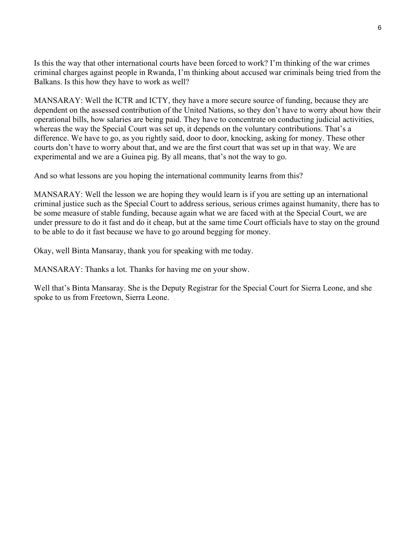Is this the way that other international courts have been forced to work? I'm thinking of the war crimes criminal charges against people in Rwanda, I'm thinking about accused war criminals being tried from the Balkans. Is this how they have to work as well?

MANSARAY: Well the ICTR and ICTY, they have a more secure source of funding, because they are dependent on the assessed contribution of the United Nations, so they don't have to worry about how their operational bills, how salaries are being paid. They have to concentrate on conducting judicial activities, whereas the way the Special Court was set up, it depends on the voluntary contributions. That's a difference. We have to go, as you rightly said, door to door, knocking, asking for money. These other courts don't have to worry about that, and we are the first court that was set up in that way. We are experimental and we are a Guinea pig. By all means, that's not the way to go.

And so what lessons are you hoping the international community learns from this?

MANSARAY: Well the lesson we are hoping they would learn is if you are setting up an international criminal justice such as the Special Court to address serious, serious crimes against humanity, there has to be some measure of stable funding, because again what we are faced with at the Special Court, we are under pressure to do it fast and do it cheap, but at the same time Court officials have to stay on the ground to be able to do it fast because we have to go around begging for money.

Okay, well Binta Mansaray, thank you for speaking with me today.

MANSARAY: Thanks a lot. Thanks for having me on your show.

Well that's Binta Mansaray. She is the Deputy Registrar for the Special Court for Sierra Leone, and she spoke to us from Freetown, Sierra Leone.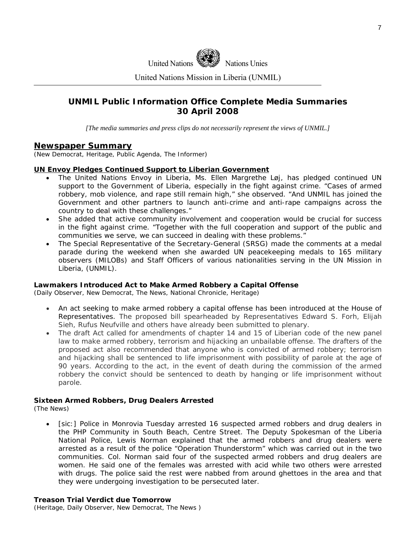

United Nations Mission in Liberia (UNMIL)

# **UNMIL Public Information Office Complete Media Summaries 30 April 2008**

*[The media summaries and press clips do not necessarily represent the views of UNMIL.]* 

### **Newspaper Summary**

(New Democrat, Heritage, Public Agenda, The Informer)

#### **[UN Envoy Pledges Continued Support to Liberian Government](http://www.publicagenda.info/unpledges.htm)**

- The United Nations Envoy in Liberia, Ms. Ellen Margrethe Løj, has pledged continued UN support to the Government of Liberia, especially in the fight against crime. "Cases of armed robbery, mob violence, and rape still remain high," she observed. "And UNMIL has joined the Government and other partners to launch anti-crime and anti-rape campaigns across the country to deal with these challenges."
- She added that active community involvement and cooperation would be crucial for success in the fight against crime. "Together with the full cooperation and support of the public and communities we serve, we can succeed in dealing with these problems."
- The Special Representative of the Secretary-General (SRSG) made the comments at a medal parade during the weekend when she awarded UN peacekeeping medals to 165 military observers (MILOBs) and Staff Officers of various nationalities serving in the UN Mission in Liberia, (UNMIL).

#### **Lawmakers Introduced Act to Make Armed Robbery a Capital Offense**

(Daily Observer, New Democrat, The News, National Chronicle, Heritage)

- An act seeking to make armed robbery a capital offense has been introduced at the House of Representatives. The proposed bill spearheaded by Representatives Edward S. Forh, Elijah Sieh, Rufus Neufville and others have already been submitted to plenary.
- The draft Act called for amendments of chapter 14 and 15 of Liberian code of the new panel law to make armed robbery, terrorism and hijacking an unbailable offense. The drafters of the proposed act also recommended that anyone who is convicted of armed robbery; terrorism and hijacking shall be sentenced to life imprisonment with possibility of parole at the age of 90 years. According to the act, in the event of death during the commission of the armed robbery the convict should be sentenced to death by hanging or life imprisonment without parole.

### **Sixteen Armed Robbers, Drug Dealers Arrested**

(The News)

• [sic:] Police in Monrovia Tuesday arrested 16 suspected armed robbers and drug dealers in the PHP Community in South Beach, Centre Street. The Deputy Spokesman of the Liberia National Police, Lewis Norman explained that the armed robbers and drug dealers were arrested as a result of the police "Operation Thunderstorm" which was carried out in the two communities. Col. Norman said four of the suspected armed robbers and drug dealers are women. He said one of the females was arrested with acid while two others were arrested with drugs. The police said the rest were nabbed from around ghettoes in the area and that they were undergoing investigation to be persecuted later.

### **Treason Trial Verdict due Tomorrow**

(Heritage, Daily Observer, New Democrat, The News )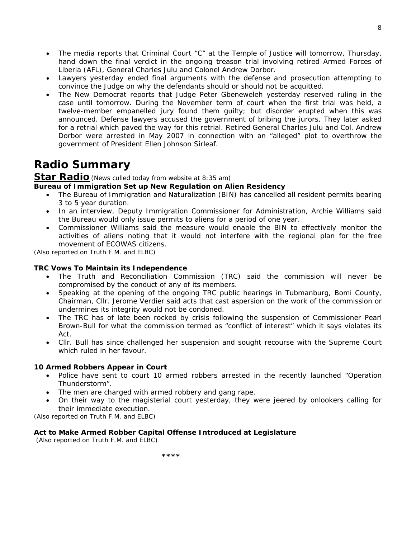- The media reports that Criminal Court "C" at the Temple of Justice will tomorrow, Thursday, hand down the final verdict in the ongoing treason trial involving retired Armed Forces of Liberia (AFL), General Charles Julu and Colonel Andrew Dorbor.
- Lawyers yesterday ended final arguments with the defense and prosecution attempting to convince the Judge on why the defendants should or should not be acquitted.
- The New Democrat reports that Judge Peter Gbeneweleh yesterday reserved ruling in the case until tomorrow. During the November term of court when the first trial was held, a twelve-member empanelled jury found them guilty; but disorder erupted when this was announced. Defense lawyers accused the government of bribing the jurors. They later asked for a retrial which paved the way for this retrial. Retired General Charles Julu and Col. Andrew Dorbor were arrested in May 2007 in connection with an "alleged" plot to overthrow the government of President Ellen Johnson Sirleaf.

# **Radio Summary**

### **Star Radio***(News culled today from website at 8:35 am)*

### **Bureau of Immigration Set up New Regulation on Alien Residency**

- The Bureau of Immigration and Naturalization (BIN) has cancelled all resident permits bearing 3 to 5 year duration.
- In an interview, Deputy Immigration Commissioner for Administration, Archie Williams said the Bureau would only issue permits to aliens for a period of one year.
- Commissioner Williams said the measure would enable the BIN to effectively monitor the activities of aliens noting that it would not interfere with the regional plan for the free movement of ECOWAS citizens.

*(Also reported on Truth F.M. and ELBC)* 

### **TRC Vows To Maintain its Independence**

- The Truth and Reconciliation Commission (TRC) said the commission will never be compromised by the conduct of any of its members.
- Speaking at the opening of the ongoing TRC public hearings in Tubmanburg, Bomi County, Chairman, Cllr. Jerome Verdier said acts that cast aspersion on the work of the commission or undermines its integrity would not be condoned.
- The TRC has of late been rocked by crisis following the suspension of Commissioner Pearl Brown-Bull for what the commission termed as "conflict of interest" which it says violates its Act.
- Cllr. Bull has since challenged her suspension and sought recourse with the Supreme Court which ruled in her favour.

### **10 Armed Robbers Appear in Court**

- Police have sent to court 10 armed robbers arrested in the recently launched "Operation Thunderstorm".
- The men are charged with armed robbery and gang rape.
- On their way to the magisterial court yesterday, they were jeered by onlookers calling for their immediate execution.

*(Also reported on Truth F.M. and ELBC)* 

### **Act to Make Armed Robber Capital Offense Introduced at Legislature**

 *(Also reported on Truth F.M. and ELBC)* 

 **\*\*\*\***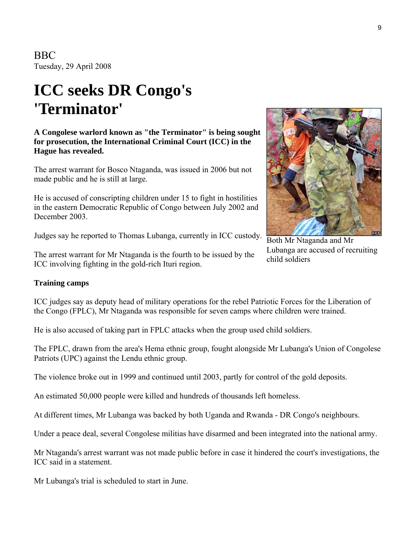BBC Tuesday, 29 April 2008

# **ICC seeks DR Congo's 'Terminator'**

**A Congolese warlord known as "the Terminator" is being sought for prosecution, the International Criminal Court (ICC) in the Hague has revealed.**

The arrest warrant for Bosco Ntaganda, was issued in 2006 but not made public and he is still at large.

He is accused of conscripting children under 15 to fight in hostilities in the eastern Democratic Republic of Congo between July 2002 and December 2003.

Judges say he reported to Thomas Lubanga, currently in ICC custody.

The arrest warrant for Mr Ntaganda is the fourth to be issued by the ICC involving fighting in the gold-rich Ituri region.

### **Training camps**

ICC judges say as deputy head of military operations for the rebel Patriotic Forces for the Liberation of the Congo (FPLC), Mr Ntaganda was responsible for seven camps where children were trained.

He is also accused of taking part in FPLC attacks when the group used child soldiers.

The FPLC, drawn from the area's Hema ethnic group, fought alongside Mr Lubanga's Union of Congolese Patriots (UPC) against the Lendu ethnic group.

The violence broke out in 1999 and continued until 2003, partly for control of the gold deposits.

An estimated 50,000 people were killed and hundreds of thousands left homeless.

At different times, Mr Lubanga was backed by both Uganda and Rwanda - DR Congo's neighbours.

Under a peace deal, several Congolese militias have disarmed and been integrated into the national army.

Mr Ntaganda's arrest warrant was not made public before in case it hindered the court's investigations, the ICC said in a statement.

Mr Lubanga's trial is scheduled to start in June.

**REP** Both Mr Ntaganda and Mr Lubanga are accused of recruiting child soldiers

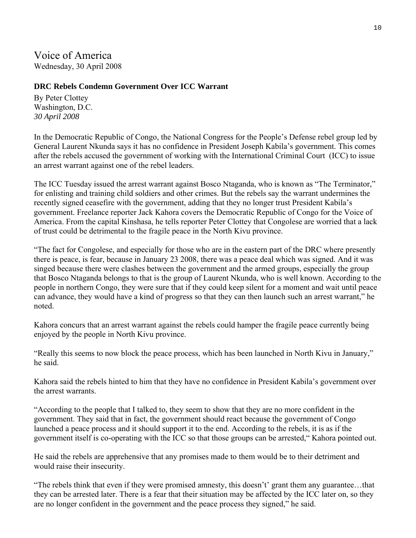# Voice of America Wednesday, 30 April 2008

# **DRC Rebels Condemn Government Over ICC Warrant**

By Peter Clottey Washington, D.C. *30 April 2008*

In the Democratic Republic of Congo, the National Congress for the People's Defense rebel group led by General Laurent Nkunda says it has no confidence in President Joseph Kabila's government. This comes after the rebels accused the government of working with the International Criminal Court (ICC) to issue an arrest warrant against one of the rebel leaders.

The ICC Tuesday issued the arrest warrant against Bosco Ntaganda, who is known as "The Terminator," for enlisting and training child soldiers and other crimes. But the rebels say the warrant undermines the recently signed ceasefire with the government, adding that they no longer trust President Kabila's government. Freelance reporter Jack Kahora covers the Democratic Republic of Congo for the Voice of America. From the capital Kinshasa, he tells reporter Peter Clottey that Congolese are worried that a lack of trust could be detrimental to the fragile peace in the North Kivu province.

"The fact for Congolese, and especially for those who are in the eastern part of the DRC where presently there is peace, is fear, because in January 23 2008, there was a peace deal which was signed. And it was singed because there were clashes between the government and the armed groups, especially the group that Bosco Ntaganda belongs to that is the group of Laurent Nkunda, who is well known. According to the people in northern Congo, they were sure that if they could keep silent for a moment and wait until peace can advance, they would have a kind of progress so that they can then launch such an arrest warrant," he noted.

Kahora concurs that an arrest warrant against the rebels could hamper the fragile peace currently being enjoyed by the people in North Kivu province.

"Really this seems to now block the peace process, which has been launched in North Kivu in January," he said.

Kahora said the rebels hinted to him that they have no confidence in President Kabila's government over the arrest warrants.

"According to the people that I talked to, they seem to show that they are no more confident in the government. They said that in fact, the government should react because the government of Congo launched a peace process and it should support it to the end. According to the rebels, it is as if the government itself is co-operating with the ICC so that those groups can be arrested," Kahora pointed out.

He said the rebels are apprehensive that any promises made to them would be to their detriment and would raise their insecurity.

"The rebels think that even if they were promised amnesty, this doesn't' grant them any guarantee…that they can be arrested later. There is a fear that their situation may be affected by the ICC later on, so they are no longer confident in the government and the peace process they signed," he said.